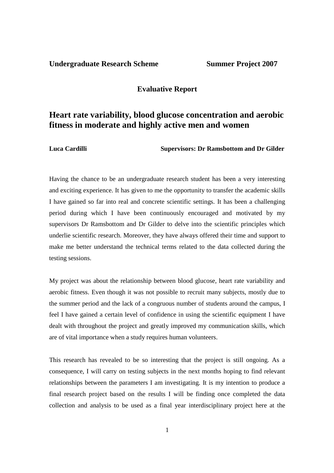## **Undergraduate Research Scheme Summer Project 2007**

### **Evaluative Report**

# **Heart rate variability, blood glucose concentration and aerobic fitness in moderate and highly active men and women**

**Luca Cardilli Supervisors: Dr Ramsbottom and Dr Gilder** 

Having the chance to be an undergraduate research student has been a very interesting and exciting experience. It has given to me the opportunity to transfer the academic skills I have gained so far into real and concrete scientific settings. It has been a challenging period during which I have been continuously encouraged and motivated by my supervisors Dr Ramsbottom and Dr Gilder to delve into the scientific principles which underlie scientific research. Moreover, they have always offered their time and support to make me better understand the technical terms related to the data collected during the testing sessions.

My project was about the relationship between blood glucose, heart rate variability and aerobic fitness. Even though it was not possible to recruit many subjects, mostly due to the summer period and the lack of a congruous number of students around the campus, I feel I have gained a certain level of confidence in using the scientific equipment I have dealt with throughout the project and greatly improved my communication skills, which are of vital importance when a study requires human volunteers.

This research has revealed to be so interesting that the project is still ongoing. As a consequence, I will carry on testing subjects in the next months hoping to find relevant relationships between the parameters I am investigating. It is my intention to produce a final research project based on the results I will be finding once completed the data collection and analysis to be used as a final year interdisciplinary project here at the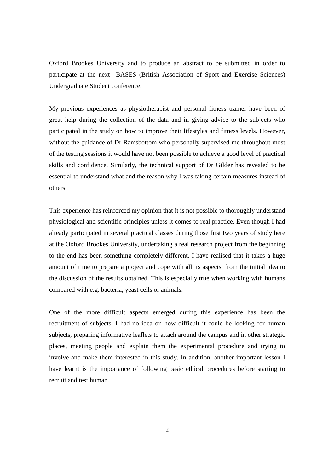Oxford Brookes University and to produce an abstract to be submitted in order to participate at the next BASES (British Association of Sport and Exercise Sciences) Undergraduate Student conference.

My previous experiences as physiotherapist and personal fitness trainer have been of great help during the collection of the data and in giving advice to the subjects who participated in the study on how to improve their lifestyles and fitness levels. However, without the guidance of Dr Ramsbottom who personally supervised me throughout most of the testing sessions it would have not been possible to achieve a good level of practical skills and confidence. Similarly, the technical support of Dr Gilder has revealed to be essential to understand what and the reason why I was taking certain measures instead of others.

This experience has reinforced my opinion that it is not possible to thoroughly understand physiological and scientific principles unless it comes to real practice. Even though I had already participated in several practical classes during those first two years of study here at the Oxford Brookes University, undertaking a real research project from the beginning to the end has been something completely different. I have realised that it takes a huge amount of time to prepare a project and cope with all its aspects, from the initial idea to the discussion of the results obtained. This is especially true when working with humans compared with e.g. bacteria, yeast cells or animals.

One of the more difficult aspects emerged during this experience has been the recruitment of subjects. I had no idea on how difficult it could be looking for human subjects, preparing informative leaflets to attach around the campus and in other strategic places, meeting people and explain them the experimental procedure and trying to involve and make them interested in this study. In addition, another important lesson I have learnt is the importance of following basic ethical procedures before starting to recruit and test human.